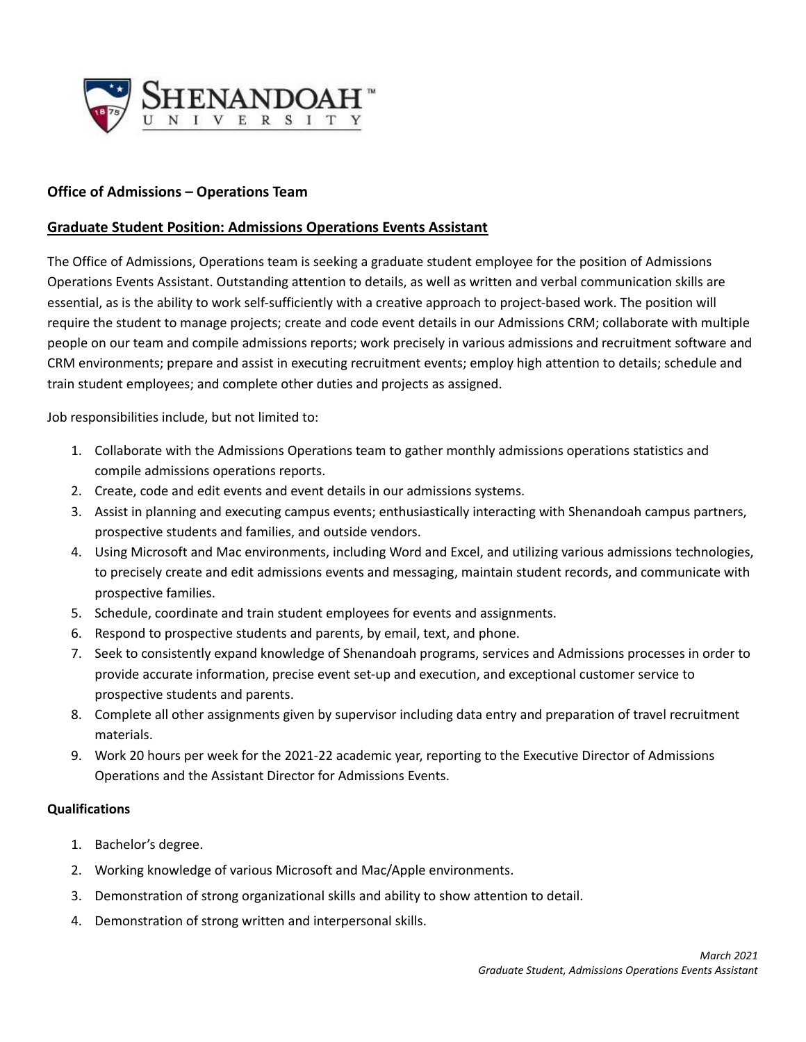

## **Office of Admissions – Operations Team**

## **Graduate Student Position: Admissions Operations Events Assistant**

The Office of Admissions, Operations team is seeking a graduate student employee for the position of Admissions Operations Events Assistant. Outstanding attention to details, as well as written and verbal communication skills are essential, as is the ability to work self-sufficiently with a creative approach to project-based work. The position will require the student to manage projects; create and code event details in our Admissions CRM; collaborate with multiple people on our team and compile admissions reports; work precisely in various admissions and recruitment software and CRM environments; prepare and assist in executing recruitment events; employ high attention to details; schedule and train student employees; and complete other duties and projects as assigned.

Job responsibilities include, but not limited to:

- 1. Collaborate with the Admissions Operations team to gather monthly admissions operations statistics and compile admissions operations reports.
- 2. Create, code and edit events and event details in our admissions systems.
- 3. Assist in planning and executing campus events; enthusiastically interacting with Shenandoah campus partners, prospective students and families, and outside vendors.
- 4. Using Microsoft and Mac environments, including Word and Excel, and utilizing various admissions technologies, to precisely create and edit admissions events and messaging, maintain student records, and communicate with prospective families.
- 5. Schedule, coordinate and train student employees for events and assignments.
- 6. Respond to prospective students and parents, by email, text, and phone.
- 7. Seek to consistently expand knowledge of Shenandoah programs, services and Admissions processes in order to provide accurate information, precise event set-up and execution, and exceptional customer service to prospective students and parents.
- 8. Complete all other assignments given by supervisor including data entry and preparation of travel recruitment materials.
- 9. Work 20 hours per week for the 2021-22 academic year, reporting to the Executive Director of Admissions Operations and the Assistant Director for Admissions Events.

## **Qualifications**

- 1. Bachelor's degree.
- 2. Working knowledge of various Microsoft and Mac/Apple environments.
- 3. Demonstration of strong organizational skills and ability to show attention to detail.
- 4. Demonstration of strong written and interpersonal skills.